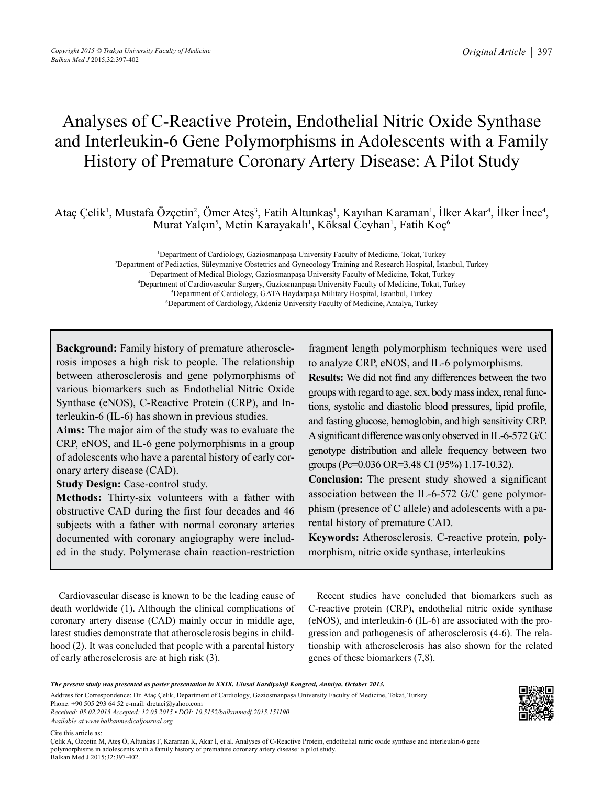# Analyses of C-Reactive Protein, Endothelial Nitric Oxide Synthase and Interleukin-6 Gene Polymorphisms in Adolescents with a Family History of Premature Coronary Artery Disease: A Pilot Study

Ataç Çelik<sup>1</sup>, Mustafa Özçetin<sup>2</sup>, Ömer Ateş<sup>3</sup>, Fatih Altunkaş<sup>1</sup>, Kayıhan Karaman<sup>1</sup>, İlker Akar<sup>4</sup>, İlker İnce<sup>4</sup>, Murat Yalçın<sup>5</sup>, Metin Karayakalı<sup>1</sup>, Köksal Ceyhan<sup>1</sup>, Fatih Koç<sup>6</sup>

> Department of Cardiology, Gaziosmanpaşa University Faculty of Medicine, Tokat, Turkey Department of Pediactics, Süleymaniye Obstetrics and Gynecology Training and Research Hospital, İstanbul, Turkey Department of Medical Biology, Gaziosmanpaşa University Faculty of Medicine, Tokat, Turkey Department of Cardiovascular Surgery, Gaziosmanpaşa University Faculty of Medicine, Tokat, Turkey Department of Cardiology, GATA Haydarpaşa Military Hospital, İstanbul, Turkey Department of Cardiology, Akdeniz University Faculty of Medicine, Antalya, Turkey

**Background:** Family history of premature atherosclerosis imposes a high risk to people. The relationship between atherosclerosis and gene polymorphisms of various biomarkers such as Endothelial Nitric Oxide Synthase (eNOS), C-Reactive Protein (CRP), and Interleukin-6 (IL-6) has shown in previous studies.

**Aims:** The major aim of the study was to evaluate the CRP, eNOS, and IL-6 gene polymorphisms in a group of adolescents who have a parental history of early coronary artery disease (CAD).

**Study Design: Case-control study.** 

**Methods:** Thirty-six volunteers with a father with obstructive CAD during the first four decades and 46 subjects with a father with normal coronary arteries documented with coronary angiography were included in the study. Polymerase chain reaction-restriction fragment length polymorphism techniques were used to analyze CRP, eNOS, and IL-6 polymorphisms. **Results:** We did not find any differences between the two groups with regard to age, sex, body mass index, renal functions, systolic and diastolic blood pressures, lipid profile, and fasting glucose, hemoglobin, and high sensitivity CRP. A significant difference was only observed in IL-6-572 G/C genotype distribution and allele frequency between two groups (Pc=0.036 OR=3.48 CI (95%) 1.17-10.32).

**Conclusion:** The present study showed a significant association between the IL-6-572 G/C gene polymorphism (presence of C allele) and adolescents with a parental history of premature CAD.

**Keywords:** Atherosclerosis, C-reactive protein, polymorphism, nitric oxide synthase, interleukins

Cardiovascular disease is known to be the leading cause of death worldwide (1). Although the clinical complications of coronary artery disease (CAD) mainly occur in middle age, latest studies demonstrate that atherosclerosis begins in childhood (2). It was concluded that people with a parental history of early atherosclerosis are at high risk (3).

Recent studies have concluded that biomarkers such as C-reactive protein (CRP), endothelial nitric oxide synthase (eNOS), and interleukin-6 (IL-6) are associated with the progression and pathogenesis of atherosclerosis (4-6). The relationship with atherosclerosis has also shown for the related genes of these biomarkers (7,8).

*The present study was presented as poster presentation in XXIX. Ulusal Kardiyoloji Kongresi, Antalya, October 2013.*

Address for Correspondence: Dr. Ataç Çelik, Department of Cardiology, Gaziosmanpaşa University Faculty of Medicine, Tokat, Turkey Phone: +90 505 293 64 52 e-mail: dretaci@yahoo.com

*Received: 05.02.2015 Accepted: 12.05.2015 • DOI: 10.5152/balkanmedj.2015.151190 Available at www.balkanmedicaljournal.org*

Cite this article as:

Çelik A, Özçetin M, Ateş Ö, Altunkaş F, Karaman K, Akar İ, et al. Analyses of C-Reactive Protein, endothelial nitric oxide synthase and interleukin-6 gene polymorphisms in adolescents with a family history of premature coronary artery disease: a pilot study. Balkan Med J 2015;32:397-402.

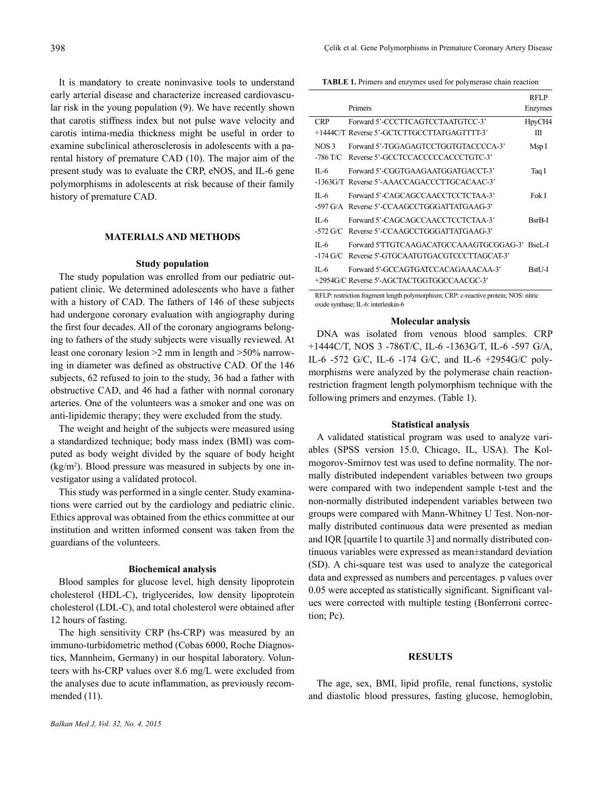It is mandatory to create noninvasive tools to understand early arterial disease and characterize increased cardiovascular risk in the young population (9). We have recently shown that carotis stiffness index but not pulse wave velocity and carotis intima-media thickness might be useful in order to examine subclinical atherosclerosis in adolescents with a parental history of premature CAD (10). The major aim of the present study was to evaluate the CRP, eNOS, and IL-6 gene polymorphisms in adolescents at risk because of their family history of premature CAD.

#### **MATERIALS AND METHODS**

#### **Study population**

The study population was enrolled from our pediatric outpatient clinic. We determined adolescents who have a father with a history of CAD. The fathers of 146 of these subjects had undergone coronary evaluation with angiography during the first four decades. All of the coronary angiograms belonging to fathers of the study subjects were visually reviewed. At least one coronary lesion >2 mm in length and >50% narrowing in diameter was defined as obstructive CAD. Of the 146 subjects, 62 refused to join to the study, 36 had a father with obstructive CAD, and 46 had a father with normal coronary arteries. One of the volunteers was a smoker and one was on anti-lipidemic therapy; they were excluded from the study.

The weight and height of the subjects were measured using a standardized technique; body mass index (BMI) was computed as body weight divided by the square of body height (kg/m2 ). Blood pressure was measured in subjects by one investigator using a validated protocol.

This study was performed in a single center. Study examinations were carried out by the cardiology and pediatric clinic. Ethics approval was obtained from the ethics committee at our institution and written informed consent was taken from the guardians of the volunteers.

# **Biochemical analysis**

Blood samples for glucose level, high density lipoprotein cholesterol (HDL-C), triglycerides, low density lipoprotein cholesterol (LDL-C), and total cholesterol were obtained after 12 hours of fasting.

The high sensitivity CRP (hs-CRP) was measured by an immuno-turbidometric method (Cobas 6000, Roche Diagnostics, Mannheim, Germany) in our hospital laboratory. Volunteers with hs-CRP values over 8.6 mg/L were excluded from the analyses due to acute inflammation, as previously recommended (11).

**TABLE 1.** Primers and enzymes used for polymerase chain reaction

|                                | Primers                                                                           | RFLP<br>Enzymes |
|--------------------------------|-----------------------------------------------------------------------------------|-----------------|
| <b>CRP</b>                     | Forward 5'-CCCTTCAGTCCTAATGTCC-3'<br>+1444C/T_Reverse 5'-GCTCTTGCCTTATGAGTTTT-3'  | HpyCH4<br>Ш     |
| NOS <sub>3</sub><br>-786 T/C   | Forward 5'-TGGAGAGTCCTGGTGTACCCCA-3'<br>Reverse 5'-GCCTCCACCCCCACCCTGTC-3'        | Msp I           |
| $\Pi$ -6                       | Forward 5'-CGGTGAAGAATGGATGACCT-3'<br>-1363G/T Reverse 5'-AAACCAGACCCTTGCACAAC-3' | Taq I           |
| $\Pi$ -6                       | Forward 5'-CAGCAGCCAACCTCCTCTAA-3'<br>-597 G/A Reverse 5'-CCAAGCCTGGGATTATGAAG-3' | Fok I           |
| $\Pi$ -6<br>$-572$ G/C         | Forward 5'-CAGCAGCCAACCTCCTCTAA-3'<br>Reverse 5'-CCAAGCCTGGGATTATGAAG-3'          | <b>BsrB-I</b>   |
| $\Pi$ -6<br>$-174 \text{ G/C}$ | Forward 5'TTGTCAAGACATGCCAAAGTGCGGAG-3'<br>Reverse 5'-GTGCAATGTGACGTCCCTTAGCAT-3' | <b>BseL-L</b>   |
| $II - 6$                       | Forward 5'-GCCAGTGATCCACAGAAACAA-3'<br>+2954G/C Reverse 5'-AGCTACTGGTGGCCAACGC-3' | BstU-I          |

RFLP: restriction fragment length polymorphism; CRP: c-reactive protein; NOS: nitric oxide synthase; IL-6: interleukin-6

#### **Molecular analysis**

DNA was isolated from venous blood samples. CRP +1444C/T, NOS 3 -786T/C, IL-6 -1363G/T, IL-6 -597 G/A, IL-6 -572 G/C, IL-6 -174 G/C, and IL-6 +2954G/C polymorphisms were analyzed by the polymerase chain reactionrestriction fragment length polymorphism technique with the following primers and enzymes. (Table 1).

### **Statistical analysis**

A validated statistical program was used to analyze variables (SPSS version 15.0, Chicago, IL, USA). The Kolmogorov-Smirnov test was used to define normality. The normally distributed independent variables between two groups were compared with two independent sample t-test and the non-normally distributed independent variables between two groups were compared with Mann-Whitney U Test. Non-normally distributed continuous data were presented as median and IQR [quartile l to quartile 3] and normally distributed continuous variables were expressed as mean±standard deviation (SD). A chi-square test was used to analyze the categorical data and expressed as numbers and percentages. p values over 0.05 were accepted as statistically significant. Significant values were corrected with multiple testing (Bonferroni correction; Pc).

#### **RESULTS**

The age, sex, BMI, lipid profile, renal functions, systolic and diastolic blood pressures, fasting glucose, hemoglobin,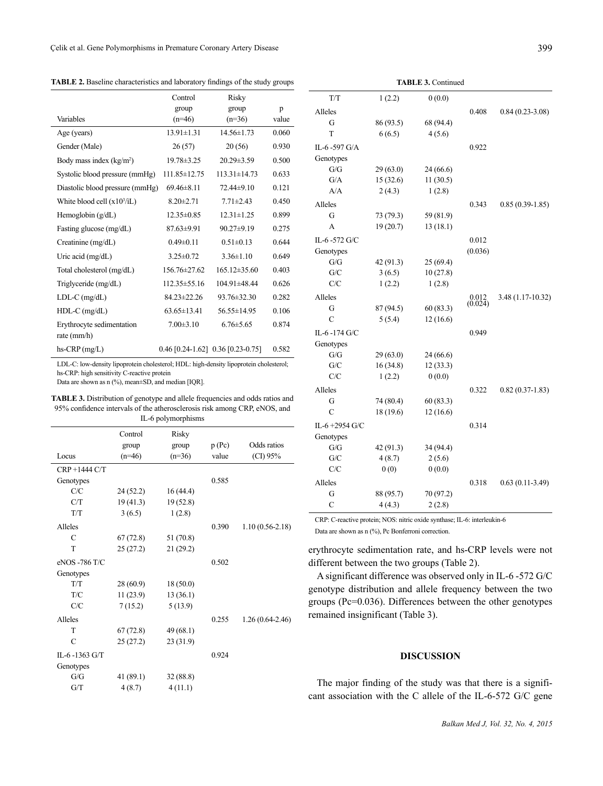**TABLE 2.** Baseline characteristics and laboratory findings of the study groups

|                                            | Control           | Risky                                 |       |
|--------------------------------------------|-------------------|---------------------------------------|-------|
|                                            | group             | group                                 | p     |
| Variables                                  | $(n=46)$          | $(n=36)$                              | value |
| Age (years)                                | $13.91 \pm 1.31$  | $14.56 \pm 1.73$                      | 0.060 |
| Gender (Male)                              | 26(57)            | 20(56)                                | 0.930 |
| Body mass index $(kg/m2)$                  | 19.78 ± 3.25      | $20.29 \pm 3.59$                      | 0.500 |
| Systolic blood pressure (mmHg)             | 111.85 ± 12.75    | $113.31 \pm 14.73$                    | 0.633 |
| Diastolic blood pressure (mmHg)            | $69.46 \pm 8.11$  | 72.44±9.10                            | 0.121 |
| White blood cell $(x10^3/1)$               | $8.20 \pm 2.71$   | $7.71 \pm 2.43$                       | 0.450 |
| Hemoglobin $(g/dL)$                        | $12.35 \pm 0.85$  | $12.31 \pm 1.25$                      | 0.899 |
| Fasting glucose (mg/dL)                    | $87.63 \pm 9.91$  | $90.27 \pm 9.19$                      | 0.275 |
| Creatinine (mg/dL)                         | $0.49 \pm 0.11$   | $0.51 \pm 0.13$                       | 0.644 |
| Uric acid $(mg/dL)$                        | $3.25 \pm 0.72$   | $3.36 \pm 1.10$                       | 0.649 |
| Total cholesterol (mg/dL)                  | 156.76±27.62      | $165.12 \pm 35.60$                    | 0.403 |
| Triglyceride (mg/dL)                       | 112.35 ± 55.16    | 104.91±48.44                          | 0.626 |
| $LDL-C$ (mg/dL)                            | 84.23±22.26       | 93.76±32.30                           | 0.282 |
| $HDL-C$ (mg/dL)                            | $63.65 \pm 13.41$ | 56.55±14.95                           | 0.106 |
| Erythrocyte sedimentation<br>rate $(mm/h)$ | $7.00\pm3.10$     | $6.76 \pm 5.65$                       | 0.874 |
| $hs-CRP$ (mg/L)                            |                   | $0.46$ [0.24-1.62] $0.36$ [0.23-0.75] | 0.582 |

LDL-C: low-density lipoprotein cholesterol; HDL: high-density lipoprotein cholesterol; hs-CRP: high sensitivity C-reactive protein

Data are shown as n (%), mean±SD, and median [IQR].

**TABLE 3.** Distribution of genotype and allele frequencies and odds ratios and 95% confidence intervals of the atherosclerosis risk among CRP, eNOS, and IL-6 polymorphisms

| Locus         | Control<br>group<br>$(n=46)$ | Risky<br>group<br>$(n=36)$ | p(Pc)<br>value | Odds ratios<br>(CI) 95% |
|---------------|------------------------------|----------------------------|----------------|-------------------------|
| CRP+1444 C/T  |                              |                            |                |                         |
| Genotypes     |                              |                            | 0.585          |                         |
| C/C           | 24(52.2)                     | 16 (44.4)                  |                |                         |
| C/T           | 19(41.3)                     | 19(52.8)                   |                |                         |
| T/T           | 3(6.5)                       | 1(2.8)                     |                |                         |
| Alleles       |                              |                            | 0.390          | $1.10(0.56-2.18)$       |
| C             | 67(72.8)                     | 51 (70.8)                  |                |                         |
| T             | 25(27.2)                     | 21(29.2)                   |                |                         |
| eNOS -786 T/C |                              |                            | 0.502          |                         |
| Genotypes     |                              |                            |                |                         |
| T/T           | 28(60.9)                     | 18(50.0)                   |                |                         |
| T/C           | 11(23.9)                     | 13(36.1)                   |                |                         |
| C/C           | 7(15.2)                      | 5(13.9)                    |                |                         |
| Alleles       |                              |                            | 0.255          | $1.26(0.64-2.46)$       |
| T             | 67(72.8)                     | 49(68.1)                   |                |                         |
| C             | 25(27.2)                     | 23(31.9)                   |                |                         |
| IL-6-1363 G/T |                              |                            | 0.924          |                         |
| Genotypes     |                              |                            |                |                         |
| G/G           | 41(89.1)                     | 32(88.8)                   |                |                         |
| G/T           | 4(8.7)                       | 4(11.1)                    |                |                         |
|               |                              |                            |                |                         |

| T/T            | 1(2.2)    | 0(0.0)    |                      |                   |
|----------------|-----------|-----------|----------------------|-------------------|
| Alleles        |           |           | 0.408                | $0.84(0.23-3.08)$ |
| G              | 86 (93.5) | 68 (94.4) |                      |                   |
| T              | 6(6.5)    | 4(5.6)    |                      |                   |
| IL-6-597 G/A   |           |           | 0.922                |                   |
| Genotypes      |           |           |                      |                   |
| G/G            | 29(63.0)  | 24(66.6)  |                      |                   |
| G/A            | 15(32.6)  | 11(30.5)  |                      |                   |
| A/A            | 2(4.3)    | 1(2.8)    |                      |                   |
| Alleles        |           |           | 0.343                | $0.85(0.39-1.85)$ |
| G              | 73 (79.3) | 59 (81.9) |                      |                   |
| A              | 19(20.7)  | 13(18.1)  |                      |                   |
| IL-6-572 G/C   |           |           | 0.012                |                   |
| Genotypes      |           |           | (0.036)              |                   |
| G/G            | 42 (91.3) | 25(69.4)  |                      |                   |
| G/C            | 3(6.5)    | 10(27.8)  |                      |                   |
| C/C            | 1(2.2)    | 1(2.8)    |                      |                   |
| Alleles        |           |           | $0.012$<br>$(0.024)$ | 3.48 (1.17-10.32) |
| G              | 87 (94.5) | 60(83.3)  |                      |                   |
| $\overline{C}$ | 5(5.4)    | 12(16.6)  |                      |                   |
| IL-6-174 G/C   |           |           | 0.949                |                   |
| Genotypes      |           |           |                      |                   |
| G/G            | 29(63.0)  | 24 (66.6) |                      |                   |
| G/C            | 16(34.8)  | 12(33.3)  |                      |                   |
| C/C            | 1(2.2)    | 0(0.0)    |                      |                   |
| Alleles        |           |           | 0.322                | $0.82(0.37-1.83)$ |
| G              | 74 (80.4) | 60(83.3)  |                      |                   |
| $\mathcal{C}$  | 18 (19.6) | 12(16.6)  |                      |                   |
| IL-6+2954 G/C  |           |           | 0.314                |                   |
| Genotypes      |           |           |                      |                   |
| G/G            | 42 (91.3) | 34 (94.4) |                      |                   |
| G/C            | 4(8.7)    | 2(5.6)    |                      |                   |
| C/C            | 0(0)      | 0(0.0)    |                      |                   |
| Alleles        |           |           | 0.318                | $0.63(0.11-3.49)$ |
| G              | 88 (95.7) | 70 (97.2) |                      |                   |
| $\mathcal{C}$  | 4(4.3)    | 2(2.8)    |                      |                   |
|                |           |           |                      |                   |

**TABLE 3.** Continued

CRP: C-reactive protein; NOS: nitric oxide synthase; IL-6: interleukin-6

Data are shown as n (%), Pc Bonferroni correction.

erythrocyte sedimentation rate, and hs-CRP levels were not different between the two groups (Table 2).

A significant difference was observed only in IL-6 -572 G/C genotype distribution and allele frequency between the two groups (Pc=0.036). Differences between the other genotypes remained insignificant (Table 3).

# **DISCUSSION**

The major finding of the study was that there is a significant association with the C allele of the IL-6-572 G/C gene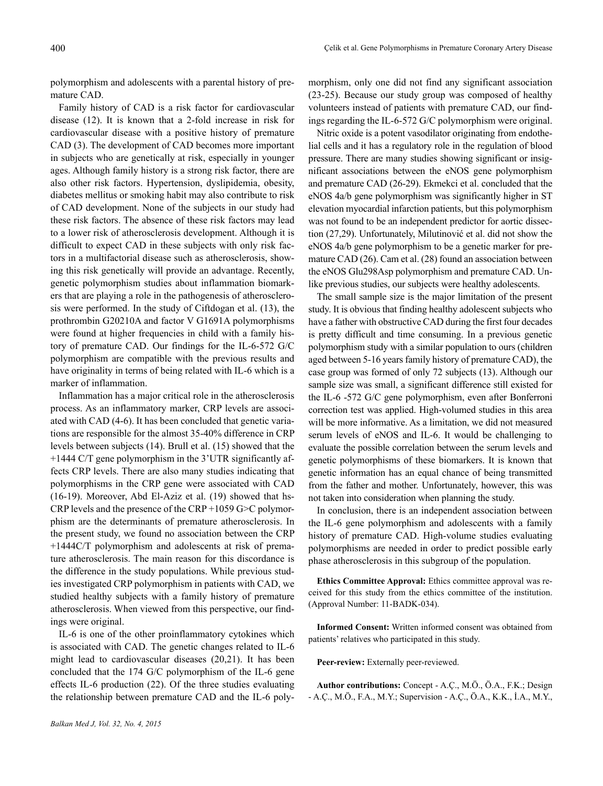polymorphism and adolescents with a parental history of premature CAD.

Family history of CAD is a risk factor for cardiovascular disease (12). It is known that a 2-fold increase in risk for cardiovascular disease with a positive history of premature CAD (3). The development of CAD becomes more important in subjects who are genetically at risk, especially in younger ages. Although family history is a strong risk factor, there are also other risk factors. Hypertension, dyslipidemia, obesity, diabetes mellitus or smoking habit may also contribute to risk of CAD development. None of the subjects in our study had these risk factors. The absence of these risk factors may lead to a lower risk of atherosclerosis development. Although it is difficult to expect CAD in these subjects with only risk factors in a multifactorial disease such as atherosclerosis, showing this risk genetically will provide an advantage. Recently, genetic polymorphism studies about inflammation biomarkers that are playing a role in the pathogenesis of atherosclerosis were performed. In the study of Ciftdogan et al. (13), the prothrombin G20210A and factor V G1691A polymorphisms were found at higher frequencies in child with a family history of premature CAD. Our findings for the IL-6-572 G/C polymorphism are compatible with the previous results and have originality in terms of being related with IL-6 which is a marker of inflammation.

Inflammation has a major critical role in the atherosclerosis process. As an inflammatory marker, CRP levels are associated with CAD (4-6). It has been concluded that genetic variations are responsible for the almost 35-40% difference in CRP levels between subjects (14). Brull et al. (15) showed that the +1444 C/T gene polymorphism in the 3'UTR significantly affects CRP levels. There are also many studies indicating that polymorphisms in the CRP gene were associated with CAD (16-19). Moreover, Abd El-Aziz et al. (19) showed that hs-CRP levels and the presence of the CRP +1059 G>C polymorphism are the determinants of premature atherosclerosis. In the present study, we found no association between the CRP +1444C/T polymorphism and adolescents at risk of premature atherosclerosis. The main reason for this discordance is the difference in the study populations. While previous studies investigated CRP polymorphism in patients with CAD, we studied healthy subjects with a family history of premature atherosclerosis. When viewed from this perspective, our findings were original.

IL-6 is one of the other proinflammatory cytokines which is associated with CAD. The genetic changes related to IL-6 might lead to cardiovascular diseases (20,21). It has been concluded that the 174 G/C polymorphism of the IL-6 gene effects IL-6 production (22). Of the three studies evaluating the relationship between premature CAD and the IL-6 polymorphism, only one did not find any significant association (23-25). Because our study group was composed of healthy volunteers instead of patients with premature CAD, our findings regarding the IL-6-572 G/C polymorphism were original.

Nitric oxide is a potent vasodilator originating from endothelial cells and it has a regulatory role in the regulation of blood pressure. There are many studies showing significant or insignificant associations between the eNOS gene polymorphism and premature CAD (26-29). Ekmekci et al. concluded that the eNOS 4a/b gene polymorphism was significantly higher in ST elevation myocardial infarction patients, but this polymorphism was not found to be an independent predictor for aortic dissection (27,29). Unfortunately, Milutinović et al. did not show the eNOS 4a/b gene polymorphism to be a genetic marker for premature CAD (26). Cam et al. (28) found an association between the eNOS Glu298Asp polymorphism and premature CAD. Unlike previous studies, our subjects were healthy adolescents.

The small sample size is the major limitation of the present study. It is obvious that finding healthy adolescent subjects who have a father with obstructive CAD during the first four decades is pretty difficult and time consuming. In a previous genetic polymorphism study with a similar population to ours (children aged between 5-16 years family history of premature CAD), the case group was formed of only 72 subjects (13). Although our sample size was small, a significant difference still existed for the IL-6 -572 G/C gene polymorphism, even after Bonferroni correction test was applied. High-volumed studies in this area will be more informative. As a limitation, we did not measured serum levels of eNOS and IL-6. It would be challenging to evaluate the possible correlation between the serum levels and genetic polymorphisms of these biomarkers. It is known that genetic information has an equal chance of being transmitted from the father and mother. Unfortunately, however, this was not taken into consideration when planning the study.

In conclusion, there is an independent association between the IL-6 gene polymorphism and adolescents with a family history of premature CAD. High-volume studies evaluating polymorphisms are needed in order to predict possible early phase atherosclerosis in this subgroup of the population.

**Ethics Committee Approval:** Ethics committee approval was received for this study from the ethics committee of the institution. (Approval Number: 11-BADK-034).

**Informed Consent:** Written informed consent was obtained from patients' relatives who participated in this study.

**Peer-review:** Externally peer-reviewed.

**Author contributions:** Concept - A.Ç., M.Ö., Ö.A., F.K.; Design - A.Ç., M.Ö., F.A., M.Y.; Supervision - A.Ç., Ö.A., K.K., İ.A., M.Y.,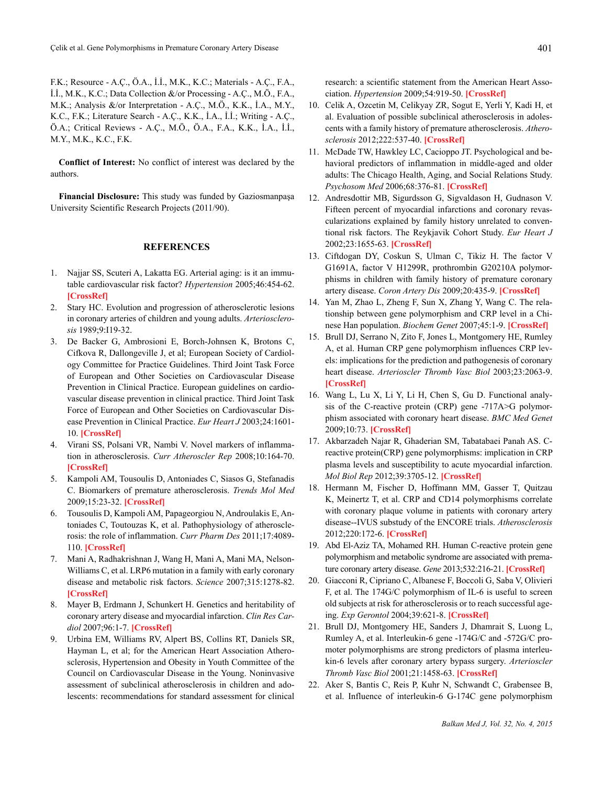F.K.; Resource - A.Ç., Ö.A., İ.İ., M.K., K.C.; Materials - A.Ç., F.A., İ.İ., M.K., K.C.; Data Collection &/or Processing - A.Ç., M.Ö., F.A., M.K.; Analysis &/or Interpretation - A.Ç., M.Ö., K.K., İ.A., M.Y., K.C., F.K.; Literature Search - A.Ç., K.K., İ.A., İ.İ.; Writing - A.Ç., Ö.A.; Critical Reviews - A.Ç., M.Ö., Ö.A., F.A., K.K., İ.A., İ.İ., M.Y., M.K., K.C., F.K.

**Conflict of Interest:** No conflict of interest was declared by the authors.

**Financial Disclosure:** This study was funded by Gaziosmanpaşa University Scientific Research Projects (2011/90).

# **REFERENCES**

- 1. Najjar SS, Scuteri A, Lakatta EG. Arterial aging: is it an immutable cardiovascular risk factor? *Hypertension* 2005;46:454-62. **[[CrossRef](http://dx.doi.org/10.1161/01.HYP.0000177474.06749.98)]**
- 2. Stary HC. Evolution and progression of atherosclerotic lesions in coronary arteries of children and young adults. *Arteriosclerosis* 1989;9:I19-32.
- 3. De Backer G, Ambrosioni E, Borch-Johnsen K, Brotons C, Cifkova R, Dallongeville J, et al; European Society of Cardiology Committee for Practice Guidelines. Third Joint Task Force of European and Other Societies on Cardiovascular Disease Prevention in Clinical Practice. European guidelines on cardiovascular disease prevention in clinical practice. Third Joint Task Force of European and Other Societies on Cardiovascular Disease Prevention in Clinical Practice. *Eur Heart J* 2003;24:1601- 10. **[\[CrossRef\]](http://dx.doi.org/10.1016/S0195-668X(03)00347-6)**
- 4. Virani SS, Polsani VR, Nambi V. Novel markers of inflammation in atherosclerosis. *Curr Atheroscler Rep* 2008;10:164-70. **[[CrossRef](http://dx.doi.org/10.1007/s11883-008-0024-0)]**
- 5. Kampoli AM, Tousoulis D, Antoniades C, Siasos G, Stefanadis C. Biomarkers of premature atherosclerosis. *Trends Mol Med* 2009;15:23-32. **[\[CrossRef\]](http://dx.doi.org/10.1016/j.molmed.2009.06.001)**
- 6. Tousoulis D, Kampoli AM, Papageorgiou N, Androulakis E, Antoniades C, Toutouzas K, et al. Pathophysiology of atherosclerosis: the role of inflammation. *Curr Pharm Des* 2011;17:4089- 110. **[[CrossRef\]](http://dx.doi.org/10.2174/138161211798764843)**
- 7. Mani A, Radhakrishnan J, Wang H, Mani A, Mani MA, Nelson-Williams C, et al. LRP6 mutation in a family with early coronary disease and metabolic risk factors. *Science* 2007;315:1278-82. **[[CrossRef](http://dx.doi.org/10.1126/science.1136370)]**
- 8. Mayer B, Erdmann J, Schunkert H. Genetics and heritability of coronary artery disease and myocardial infarction. *Clin Res Cardiol* 2007;96:1-7. **[[CrossRef](http://dx.doi.org/10.1007/s00392-006-0447-y)]**
- 9. Urbina EM, Williams RV, Alpert BS, Collins RT, Daniels SR, Hayman L, et al; for the American Heart Association Atherosclerosis, Hypertension and Obesity in Youth Committee of the Council on Cardiovascular Disease in the Young. Noninvasive assessment of subclinical atherosclerosis in children and adolescents: recommendations for standard assessment for clinical

research: a scientific statement from the American Heart Association. *Hypertension* 2009;54:919-50. **[[CrossRef\]](http://dx.doi.org/10.1161/HYPERTENSIONAHA.109.192639)**

- 10. Celik A, Ozcetin M, Celikyay ZR, Sogut E, Yerli Y, Kadi H, et al. Evaluation of possible subclinical atherosclerosis in adolescents with a family history of premature atherosclerosis. *Atherosclerosis* 2012;222:537-40. **[[CrossRef](http://dx.doi.org/10.1016/j.atherosclerosis.2012.03.026)]**
- 11. McDade TW, Hawkley LC, Cacioppo JT. Psychological and behavioral predictors of inflammation in middle-aged and older adults: The Chicago Health, Aging, and Social Relations Study. *Psychosom Med* 2006;68:376-81. **[[CrossRef](http://dx.doi.org/10.1097/01.psy.0000221371.43607.64)]**
- 12. Andresdottir MB, Sigurdsson G, Sigvaldason H, Gudnason V. Fifteen percent of myocardial infarctions and coronary revascularizations explained by family history unrelated to conventional risk factors. The Reykjavik Cohort Study. *Eur Heart J* 2002;23:1655-63. **[\[CrossRef\]](http://dx.doi.org/10.1016/S0195-668X(02)93235-5)**
- 13. Ciftdogan DY, Coskun S, Ulman C, Tikiz H. The factor V G1691A, factor V H1299R, prothrombin G20210A polymorphisms in children with family history of premature coronary artery disease. *Coron Artery Dis* 2009;20:435-9. **[[CrossRef](http://dx.doi.org/10.1097/MCA.0b013e32832bdb8c)]**
- 14. Yan M, Zhao L, Zheng F, Sun X, Zhang Y, Wang C. The relationship between gene polymorphism and CRP level in a Chinese Han population. *Biochem Genet* 2007;45:1-9. **[\[CrossRef\]](http://dx.doi.org/10.1007/s10528-006-9043-0)**
- 15. Brull DJ, Serrano N, Zito F, Jones L, Montgomery HE, Rumley A, et al. Human CRP gene polymorphism influences CRP levels: implications for the prediction and pathogenesis of coronary heart disease. *Arterioscler Thromb Vasc Biol* 2003;23:2063-9. **[[CrossRef](http://dx.doi.org/10.1161/01.ATV.0000084640.21712.9C)]**
- 16. Wang L, Lu X, Li Y, Li H, Chen S, Gu D. Functional analysis of the C-reactive protein (CRP) gene -717A>G polymorphism associated with coronary heart disease. *BMC Med Genet* 2009;10:73. **[\[CrossRef\]](http://dx.doi.org/10.1186/1471-2350-10-73)**
- 17. Akbarzadeh Najar R, Ghaderian SM, Tabatabaei Panah AS. Creactive protein(CRP) gene polymorphisms: implication in CRP plasma levels and susceptibility to acute myocardial infarction. *Mol Biol Rep* 2012;39:3705-12. **[[CrossRef\]](http://dx.doi.org/10.1007/s11033-011-1145-z)**
- 18. Hermann M, Fischer D, Hoffmann MM, Gasser T, Quitzau K, Meinertz T, et al. CRP and CD14 polymorphisms correlate with coronary plaque volume in patients with coronary artery disease--IVUS substudy of the ENCORE trials. *Atherosclerosis* 2012;220:172-6. **[[CrossRef](http://dx.doi.org/10.1016/j.atherosclerosis.2011.10.019)]**
- 19. Abd El-Aziz TA, Mohamed RH. Human C-reactive protein gene polymorphism and metabolic syndrome are associated with premature coronary artery disease. *Gene* 2013;532:216-21. **[\[CrossRef](http://dx.doi.org/10.1016/j.gene.2013.09.042)]**
- 20. Giacconi R, Cipriano C, Albanese F, Boccoli G, Saba V, Olivieri F, et al. The 174G/C polymorphism of IL-6 is useful to screen old subjects at risk for atherosclerosis or to reach successful ageing. *Exp Gerontol* 2004;39:621-8. **[[CrossRef](http://dx.doi.org/10.1016/j.exger.2003.12.013)]**
- 21. Brull DJ, Montgomery HE, Sanders J, Dhamrait S, Luong L, Rumley A, et al. Interleukin-6 gene -174G/C and -572G/C promoter polymorphisms are strong predictors of plasma interleukin-6 levels after coronary artery bypass surgery. *Arterioscler Thromb Vasc Biol* 2001;21:1458-63. **[[CrossRef](http://dx.doi.org/10.1161/hq0901.094280)]**
- 22. Aker S, Bantis C, Reis P, Kuhr N, Schwandt C, Grabensee B, et al. Influence of interleukin-6 G-174C gene polymorphism